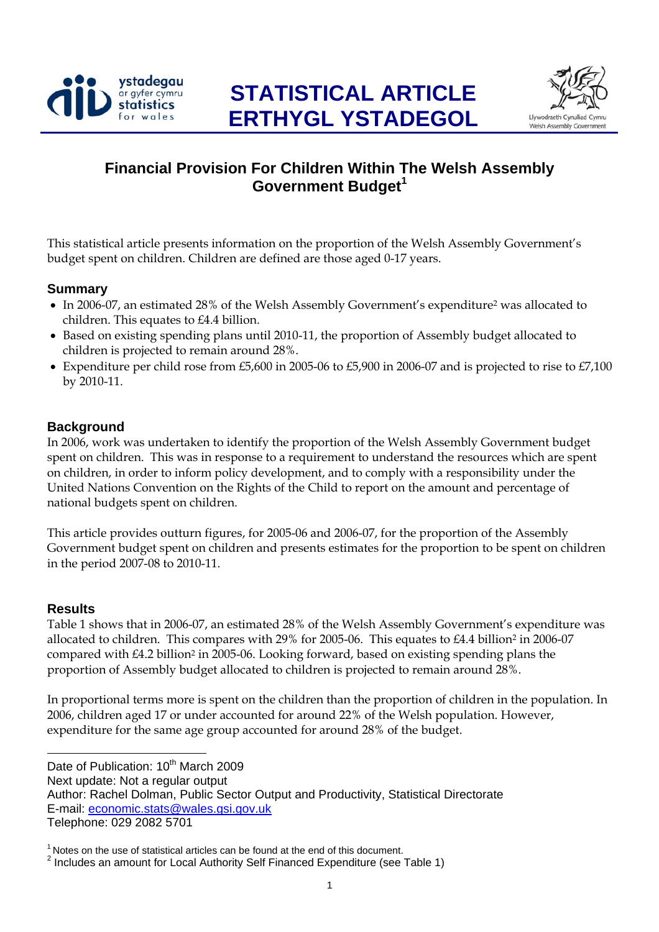



# **Financial Provision For Children Within The Welsh Assembly Government Budget<sup>1</sup>**

This statistical article presents information on the proportion of the Welsh Assembly Government's budget spent on children. Children are defined are those aged 0-17 years.

#### **Summary**

- In 2006-07, an estimated 28% of the Welsh Assembly Government's expenditure<sup>2</sup> was allocated to children. This equates to £4.4 billion.
- Based on existing spending plans until 2010-11, the proportion of Assembly budget allocated to children is projected to remain around 28%.
- Expenditure per child rose from £5,600 in 2005-06 to £5,900 in 2006-07 and is projected to rise to £7,100 by 2010-11.

#### **Background**

In 2006, work was undertaken to identify the proportion of the Welsh Assembly Government budget spent on children. This was in response to a requirement to understand the resources which are spent on children, in order to inform policy development, and to comply with a responsibility under the United Nations Convention on the Rights of the Child to report on the amount and percentage of national budgets spent on children.

This article provides outturn figures, for 2005-06 and 2006-07, for the proportion of the Assembly Government budget spent on children and presents estimates for the proportion to be spent on children in the period 2007-08 to 2010-11.

#### **Results**

Table 1 shows that in 2006-07, an estimated 28% of the Welsh Assembly Government's expenditure was allocated to children. This compares with  $29\%$  for 2005-06. This equates to  $\text{\pounds}4.4$  billion<sup>2</sup> in 2006-07 compared with  $\text{\pounds}4.2$  billion<sup>2</sup> in 2005-06. Looking forward, based on existing spending plans the proportion of Assembly budget allocated to children is projected to remain around 28%.

In proportional terms more is spent on the children than the proportion of children in the population. In 2006, children aged 17 or under accounted for around 22% of the Welsh population. However, expenditure for the same age group accounted for around 28% of the budget.

l Date of Publication: 10<sup>th</sup> March 2009 Next update: Not a regular output Author: Rachel Dolman, Public Sector Output and Productivity, Statistical Directorate E-mail: economic.stats@wales.gsi.gov.uk Teleph[one: 029 2082 5701](mailto:economic.stats@wales.gsi.gov.uk) 

 $1$  Notes on the use of statistical articles can be found at the end of this document.

<sup>&</sup>lt;sup>2</sup> Includes an amount for Local Authority Self Financed Expenditure (see Table 1)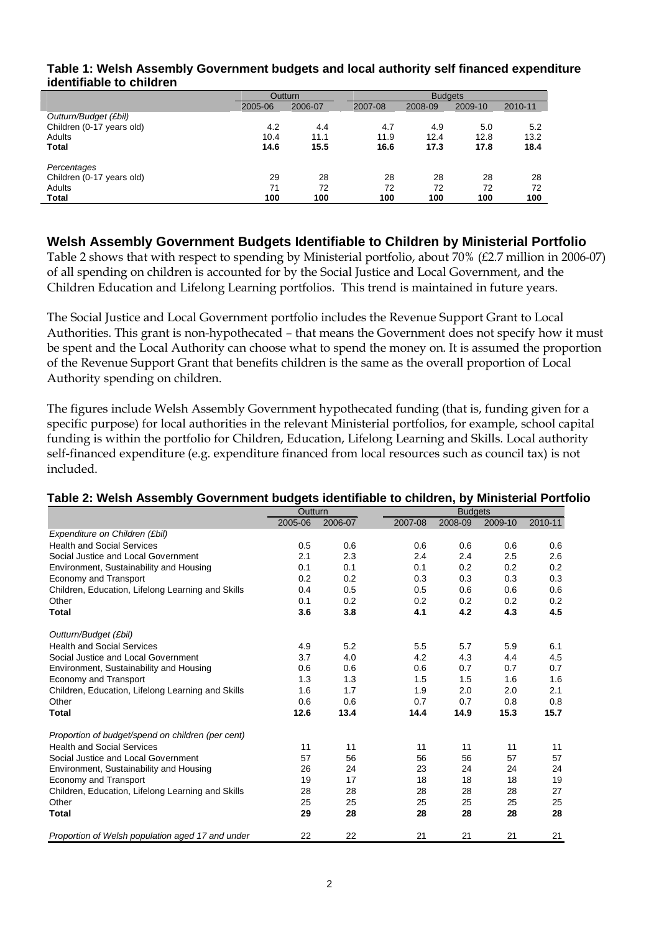| Table 1: Welsh Assembly Government budgets and local authority self financed expenditure<br>identifiable to children |         |         |                |         |         |         |  |
|----------------------------------------------------------------------------------------------------------------------|---------|---------|----------------|---------|---------|---------|--|
|                                                                                                                      |         | Outturn | <b>Budgets</b> |         |         |         |  |
|                                                                                                                      | 2005-06 | 2006-07 | 2007-08        | 2008-09 | 2009-10 | 2010-11 |  |
| Outturn/Budget (£bil)                                                                                                |         |         |                |         |         |         |  |
| $D$ hildren $(D, 47, \dots, n)$                                                                                      |         |         |                |         |         |         |  |

|                           | 2005-06 | 2006-07 | 2007-08 | 2008-09 | 2009-10 | 2010-11 |
|---------------------------|---------|---------|---------|---------|---------|---------|
| Outturn/Budget (£bil)     |         |         |         |         |         |         |
| Children (0-17 years old) | 4.2     | 4.4     | 4.7     | 4.9     | 5.0     | 5.2     |
| Adults                    | 10.4    | 11.1    | 11.9    | 12.4    | 12.8    | 13.2    |
| Total                     | 14.6    | 15.5    | 16.6    | 17.3    | 17.8    | 18.4    |
| Percentages               |         |         |         |         |         |         |
| Children (0-17 years old) | 29      | 28      | 28      | 28      | 28      | 28      |
| Adults                    | 71      | 72      | 72      | 72      | 72      | 72      |
| Total                     | 100     | 100     | 100     | 100     | 100     | 100     |

# **Welsh Assembly Government Budgets Identifiable to Children by Ministerial Portfolio**

Table 2 shows that with respect to spending by Ministerial portfolio, about 70% (£2.7 million in 2006-07) of all spending on children is accounted for by the Social Justice and Local Government, and the Children Education and Lifelong Learning portfolios. This trend is maintained in future years.

The Social Justice and Local Government portfolio includes the Revenue Support Grant to Local Authorities. This grant is non-hypothecated – that means the Government does not specify how it must be spent and the Local Authority can choose what to spend the money on. It is assumed the proportion of the Revenue Support Grant that benefits children is the same as the overall proportion of Local Authority spending on children.

The figures include Welsh Assembly Government hypothecated funding (that is, funding given for a specific purpose) for local authorities in the relevant Ministerial portfolios, for example, school capital funding is within the portfolio for Children, Education, Lifelong Learning and Skills. Local authority self-financed expenditure (e.g. expenditure financed from local resources such as council tax) is not included.

|                                                   | Outturn |         |         | <b>Budgets</b> |         |         |  |
|---------------------------------------------------|---------|---------|---------|----------------|---------|---------|--|
|                                                   | 2005-06 | 2006-07 | 2007-08 | 2008-09        | 2009-10 | 2010-11 |  |
| Expenditure on Children (£bil)                    |         |         |         |                |         |         |  |
| <b>Health and Social Services</b>                 | 0.5     | 0.6     | 0.6     | 0.6            | 0.6     | 0.6     |  |
| Social Justice and Local Government               | 2.1     | 2.3     | 2.4     | 2.4            | 2.5     | 2.6     |  |
| Environment, Sustainability and Housing           | 0.1     | 0.1     | 0.1     | 0.2            | 0.2     | 0.2     |  |
| Economy and Transport                             | 0.2     | 0.2     | 0.3     | 0.3            | 0.3     | 0.3     |  |
| Children, Education, Lifelong Learning and Skills | 0.4     | 0.5     | 0.5     | 0.6            | 0.6     | 0.6     |  |
| Other                                             | 0.1     | 0.2     | 0.2     | 0.2            | 0.2     | 0.2     |  |
| <b>Total</b>                                      | 3.6     | 3.8     | 4.1     | 4.2            | 4.3     | 4.5     |  |
| Outturn/Budget (£bil)                             |         |         |         |                |         |         |  |
| <b>Health and Social Services</b>                 | 4.9     | 5.2     | 5.5     | 5.7            | 5.9     | 6.1     |  |
| Social Justice and Local Government               | 3.7     | 4.0     | 4.2     | 4.3            | 4.4     | 4.5     |  |
| Environment, Sustainability and Housing           | 0.6     | 0.6     | 0.6     | 0.7            | 0.7     | 0.7     |  |
| Economy and Transport                             | 1.3     | 1.3     | 1.5     | 1.5            | 1.6     | 1.6     |  |
| Children, Education, Lifelong Learning and Skills | 1.6     | 1.7     | 1.9     | 2.0            | 2.0     | 2.1     |  |
| Other                                             | 0.6     | 0.6     | 0.7     | 0.7            | 0.8     | 0.8     |  |
| Total                                             | 12.6    | 13.4    | 14.4    | 14.9           | 15.3    | 15.7    |  |
| Proportion of budget/spend on children (per cent) |         |         |         |                |         |         |  |
| <b>Health and Social Services</b>                 | 11      | 11      | 11      | 11             | 11      | 11      |  |
| Social Justice and Local Government               | 57      | 56      | 56      | 56             | 57      | 57      |  |
| Environment, Sustainability and Housing           | 26      | 24      | 23      | 24             | 24      | 24      |  |
| Economy and Transport                             | 19      | 17      | 18      | 18             | 18      | 19      |  |
| Children, Education, Lifelong Learning and Skills | 28      | 28      | 28      | 28             | 28      | 27      |  |
| Other                                             | 25      | 25      | 25      | 25             | 25      | 25      |  |
| Total                                             | 29      | 28      | 28      | 28             | 28      | 28      |  |
| Proportion of Welsh population aged 17 and under  | 22      | 22      | 21      | 21             | 21      | 21      |  |

# **Table 2: Welsh Assembly Government budgets identifiable to children, by Ministerial Portfolio**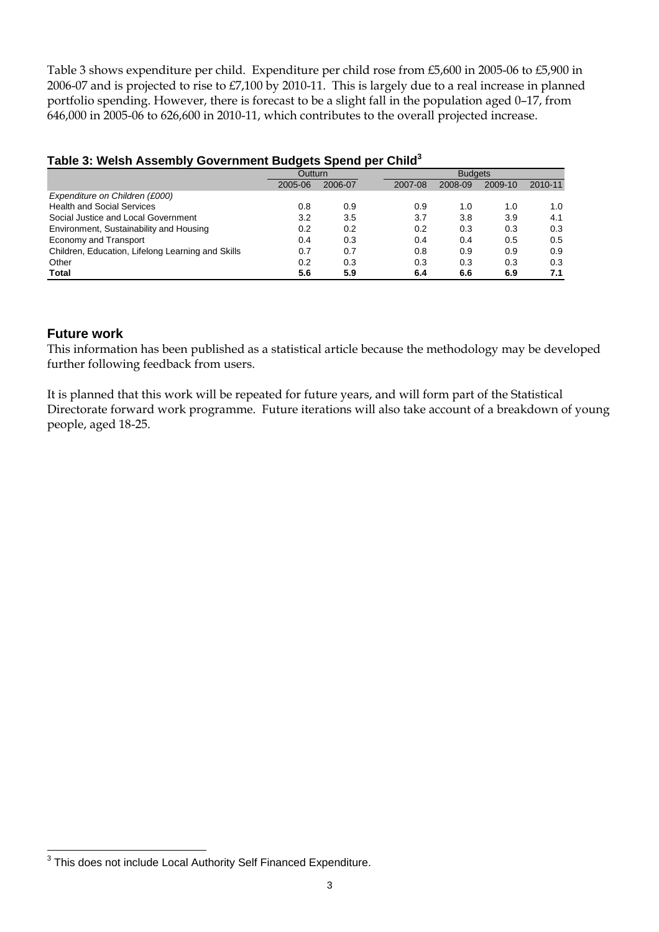Table 3 shows expenditure per child. Expenditure per child rose from £5,600 in 2005-06 to £5,900 in 2006-07 and is projected to rise to £7,100 by 2010-11. This is largely due to a real increase in planned portfolio spending. However, there is forecast to be a slight fall in the population aged 0–17, from 646,000 in 2005-06 to 626,600 in 2010-11, which contributes to the overall projected increase.

| , , , , , , , , , , , , ,<br>.                    |         |         |         |                |         |         |  |  |
|---------------------------------------------------|---------|---------|---------|----------------|---------|---------|--|--|
|                                                   | Outturn |         |         | <b>Budgets</b> |         |         |  |  |
|                                                   | 2005-06 | 2006-07 | 2007-08 | 2008-09        | 2009-10 | 2010-11 |  |  |
| Expenditure on Children (£000)                    |         |         |         |                |         |         |  |  |
| <b>Health and Social Services</b>                 | 0.8     | 0.9     | 0.9     | 1.0            | 1.0     | 1.0     |  |  |
| Social Justice and Local Government               | 3.2     | 3.5     | 3.7     | 3.8            | 3.9     | 4.1     |  |  |
| Environment, Sustainability and Housing           | 0.2     | 0.2     | 0.2     | 0.3            | 0.3     | 0.3     |  |  |
| Economy and Transport                             | 0.4     | 0.3     | 0.4     | 0.4            | 0.5     | 0.5     |  |  |
| Children, Education, Lifelong Learning and Skills | 0.7     | 0.7     | 0.8     | 0.9            | 0.9     | 0.9     |  |  |
| Other                                             | 0.2     | 0.3     | 0.3     | 0.3            | 0.3     | 0.3     |  |  |
| Total                                             | 5.6     | 5.9     | 6.4     | 6.6            | 6.9     | 7.1     |  |  |

#### **Table 3: Welsh Assembly Government Budgets Spend per Child3**

#### **Future work**

l

This information has been published as a statistical article because the methodology may be developed further following feedback from users.

It is planned that this work will be repeated for future years, and will form part of the Statistical Directorate forward work programme. Future iterations will also take account of a breakdown of young people, aged 18-25.

 $3$  This does not include Local Authority Self Financed Expenditure.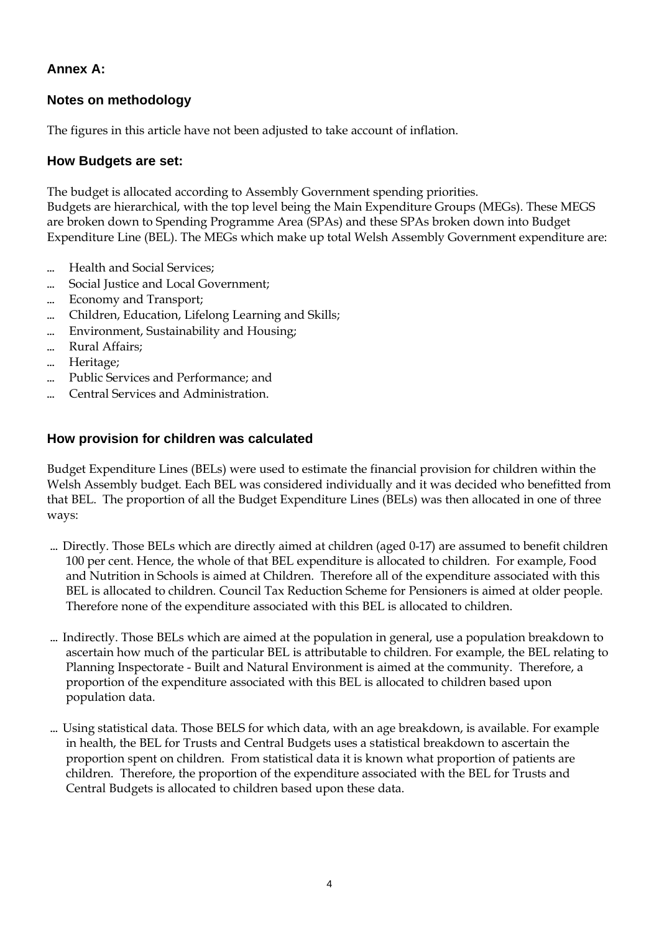# **Annex A:**

# **Notes on methodology**

The figures in this article have not been adjusted to take account of inflation.

### **How Budgets are set:**

The budget is allocated according to Assembly Government spending priorities. Budgets are hierarchical, with the top level being the Main Expenditure Groups (MEGs). These MEGS are broken down to Spending Programme Area (SPAs) and these SPAs broken down into Budget Expenditure Line (BEL). The MEGs which make up total Welsh Assembly Government expenditure are:

- ... Health and Social Services;
- ... Social Justice and Local Government;
- · Economy and Transport;
- · Children, Education, Lifelong Learning and Skills;
- ... Environment, Sustainability and Housing;
- ... Rural Affairs;
- · Heritage;
- · Public Services and Performance; and
- ... Central Services and Administration.

#### **How provision for children was calculated**

Budget Expenditure Lines (BELs) were used to estimate the financial provision for children within the Welsh Assembly budget. Each BEL was considered individually and it was decided who benefitted from that BEL. The proportion of all the Budget Expenditure Lines (BELs) was then allocated in one of three ways:

- · Directly. Those BELs which are directly aimed at children (aged 0-17) are assumed to benefit children 100 per cent. Hence, the whole of that BEL expenditure is allocated to children. For example, Food and Nutrition in Schools is aimed at Children. Therefore all of the expenditure associated with this BEL is allocated to children. Council Tax Reduction Scheme for Pensioners is aimed at older people. Therefore none of the expenditure associated with this BEL is allocated to children.
- ... Indirectly. Those BELs which are aimed at the population in general, use a population breakdown to ascertain how much of the particular BEL is attributable to children. For example, the BEL relating to Planning Inspectorate - Built and Natural Environment is aimed at the community. Therefore, a proportion of the expenditure associated with this BEL is allocated to children based upon population data.
- ... Using statistical data. Those BELS for which data, with an age breakdown, is available. For example in health, the BEL for Trusts and Central Budgets uses a statistical breakdown to ascertain the proportion spent on children. From statistical data it is known what proportion of patients are children. Therefore, the proportion of the expenditure associated with the BEL for Trusts and Central Budgets is allocated to children based upon these data.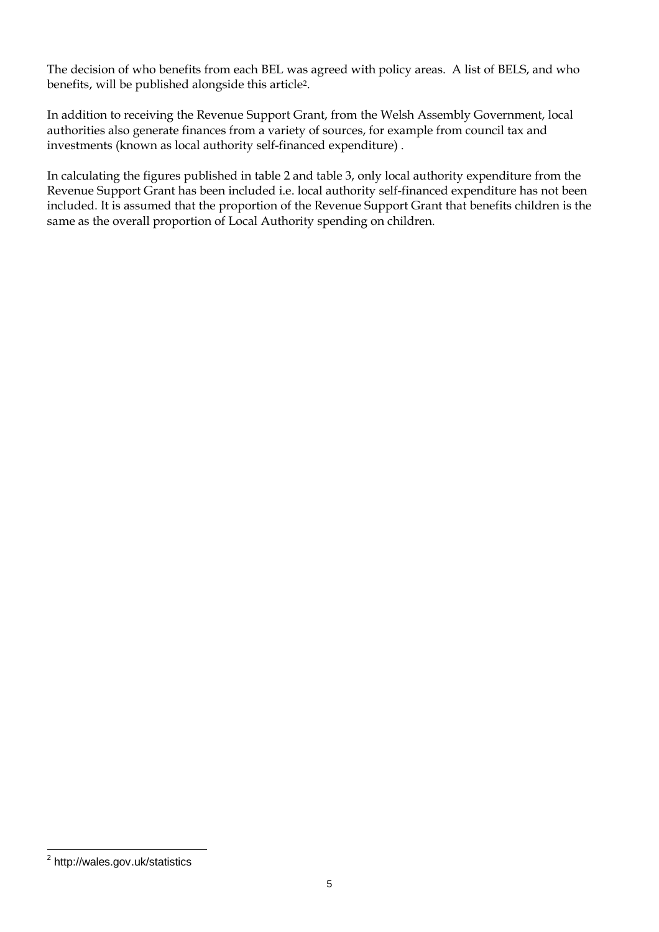The decision of who benefits from each BEL was agreed with policy areas. A list of BELS, and who benefits, will be published alongside this article2.

In addition to receiving the Revenue Support Grant, from the Welsh Assembly Government, local authorities also generate finances from a variety of sources, for example from council tax and investments (known as local authority self-financed expenditure) .

In calculating the figures published in table 2 and table 3, only local authority expenditure from the Revenue Support Grant has been included i.e. local authority self-financed expenditure has not been included. It is assumed that the proportion of the Revenue Support Grant that benefits children is the same as the overall proportion of Local Authority spending on children.

 <sup>2</sup> http://wales.gov.uk/statistics